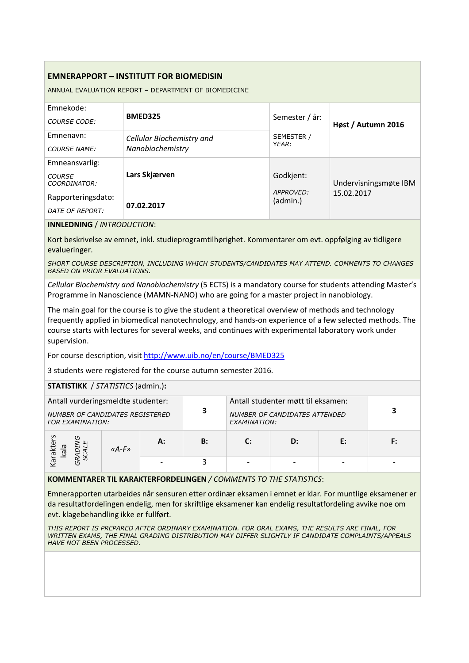## **EMNERAPPORT – INSTITUTT FOR BIOMEDISIN**

ANNUAL EVALUATION REPORT – DEPARTMENT OF BIOMEDICINE

| Emnekode:                     |                           |                       |                       |  |
|-------------------------------|---------------------------|-----------------------|-----------------------|--|
| COURSE CODE:                  | <b>BMED325</b>            | Semester / år:        | Høst / Autumn 2016    |  |
| Emnenavn:                     | Cellular Biochemistry and | SEMESTER /            |                       |  |
| <b>COURSE NAME:</b>           | Nanobiochemistry          | YEAR:                 |                       |  |
| Emneansvarlig:                |                           |                       |                       |  |
| <b>COURSE</b><br>COORDINATOR: | Lars Skjærven             | Godkjent:             | Undervisningsmøte IBM |  |
| Rapporteringsdato:            |                           | APPROVED:<br>(admin.) | 15.02.2017            |  |
| DATE OF REPORT:               | 07.02.2017                |                       |                       |  |

**INNLEDNING** / *INTRODUCTION*:

Kort beskrivelse av emnet, inkl. studieprogramtilhørighet. Kommentarer om evt. oppfølging av tidligere evalueringer.

*SHORT COURSE DESCRIPTION, INCLUDING WHICH STUDENTS/CANDIDATES MAY ATTEND. COMMENTS TO CHANGES BASED ON PRIOR EVALUATIONS.*

*Cellular Biochemistry and Nanobiochemistry* (5 ECTS) is a mandatory course for students attending Master's Programme in Nanoscience (MAMN-NANO) who are going for a master project in nanobiology.

The main goal for the course is to give the student a theoretical overview of methods and technology frequently applied in biomedical nanotechnology, and hands-on experience of a few selected methods. The course starts with lectures for several weeks, and continues with experimental laboratory work under supervision.

For course description, visit http://www.uib.no/en/course/BMED325

3 students were registered for the course autumn semester 2016.

**STATISTIKK** / *STATISTICS* (admin.)**:**

| Antall vurderingsmeldte studenter:<br><b>NUMBER OF CANDIDATES REGISTERED</b><br><b>FOR EXAMINATION:</b> |           |    | 3  | Antall studenter møtt til eksamen:<br><b>NUMBER OF CANDIDATES ATTENDED</b><br>EXAMINATION: |    |    |    |
|---------------------------------------------------------------------------------------------------------|-----------|----|----|--------------------------------------------------------------------------------------------|----|----|----|
| arakter<br>kala<br>∼                                                                                    | « $A-F$ » | А: | B: | $\mathbf{C}$                                                                               | D: | F: | F: |
|                                                                                                         |           |    |    |                                                                                            |    |    |    |

**KOMMENTARER TIL KARAKTERFORDELINGEN** */ COMMENTS TO THE STATISTICS*:

Emnerapporten utarbeides når sensuren etter ordinær eksamen i emnet er klar. For muntlige eksamener er da resultatfordelingen endelig, men for skriftlige eksamener kan endelig resultatfordeling avvike noe om evt. klagebehandling ikke er fullført.

*THIS REPORT IS PREPARED AFTER ORDINARY EXAMINATION. FOR ORAL EXAMS, THE RESULTS ARE FINAL, FOR WRITTEN EXAMS, THE FINAL GRADING DISTRIBUTION MAY DIFFER SLIGHTLY IF CANDIDATE COMPLAINTS/APPEALS HAVE NOT BEEN PROCESSED.*